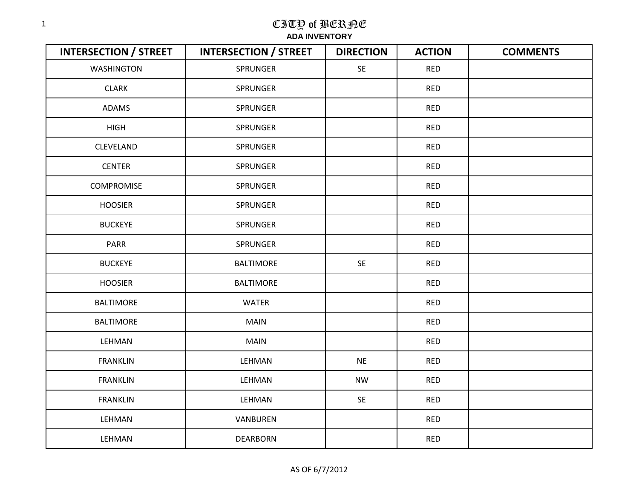| <b>INTERSECTION / STREET</b> | <b>INTERSECTION / STREET</b> | <b>DIRECTION</b> | <b>ACTION</b> | <b>COMMENTS</b> |
|------------------------------|------------------------------|------------------|---------------|-----------------|
| <b>WASHINGTON</b>            | <b>SPRUNGER</b>              | SE               | <b>RED</b>    |                 |
| <b>CLARK</b>                 | <b>SPRUNGER</b>              |                  | <b>RED</b>    |                 |
| ADAMS                        | SPRUNGER                     |                  | <b>RED</b>    |                 |
| <b>HIGH</b>                  | SPRUNGER                     |                  | <b>RED</b>    |                 |
| CLEVELAND                    | SPRUNGER                     |                  | <b>RED</b>    |                 |
| <b>CENTER</b>                | SPRUNGER                     |                  | <b>RED</b>    |                 |
| <b>COMPROMISE</b>            | SPRUNGER                     |                  | <b>RED</b>    |                 |
| <b>HOOSIER</b>               | SPRUNGER                     |                  | <b>RED</b>    |                 |
| <b>BUCKEYE</b>               | SPRUNGER                     |                  | <b>RED</b>    |                 |
| PARR                         | SPRUNGER                     |                  | <b>RED</b>    |                 |
| <b>BUCKEYE</b>               | <b>BALTIMORE</b>             | SE               | <b>RED</b>    |                 |
| <b>HOOSIER</b>               | <b>BALTIMORE</b>             |                  | <b>RED</b>    |                 |
| <b>BALTIMORE</b>             | <b>WATER</b>                 |                  | <b>RED</b>    |                 |
| <b>BALTIMORE</b>             | <b>MAIN</b>                  |                  | <b>RED</b>    |                 |
| LEHMAN                       | <b>MAIN</b>                  |                  | <b>RED</b>    |                 |
| <b>FRANKLIN</b>              | LEHMAN                       | <b>NE</b>        | <b>RED</b>    |                 |
| <b>FRANKLIN</b>              | LEHMAN                       | <b>NW</b>        | <b>RED</b>    |                 |
| <b>FRANKLIN</b>              | LEHMAN                       | SE               | <b>RED</b>    |                 |
| LEHMAN                       | VANBUREN                     |                  | <b>RED</b>    |                 |
| LEHMAN                       | <b>DEARBORN</b>              |                  | <b>RED</b>    |                 |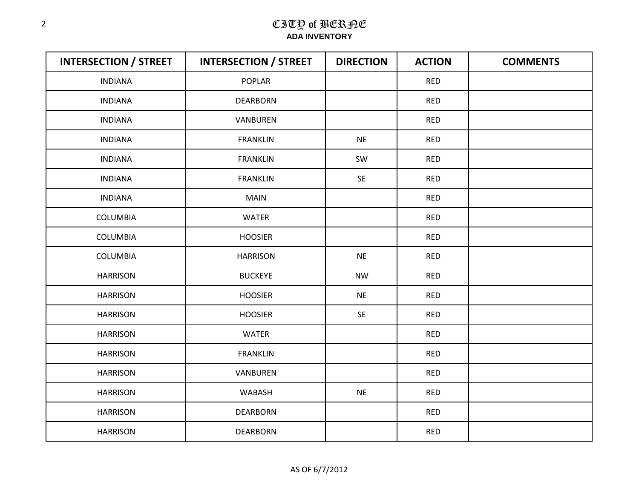| <b>INTERSECTION / STREET</b> | <b>INTERSECTION / STREET</b> | <b>DIRECTION</b> | <b>ACTION</b> | <b>COMMENTS</b> |
|------------------------------|------------------------------|------------------|---------------|-----------------|
| <b>INDIANA</b>               | <b>POPLAR</b>                |                  | <b>RED</b>    |                 |
| <b>INDIANA</b>               | <b>DEARBORN</b>              |                  | <b>RED</b>    |                 |
| <b>INDIANA</b>               | VANBUREN                     |                  | <b>RED</b>    |                 |
| <b>INDIANA</b>               | <b>FRANKLIN</b>              | <b>NE</b>        | <b>RED</b>    |                 |
| <b>INDIANA</b>               | <b>FRANKLIN</b>              | SW               | <b>RED</b>    |                 |
| <b>INDIANA</b>               | <b>FRANKLIN</b>              | SE               | <b>RED</b>    |                 |
| <b>INDIANA</b>               | <b>MAIN</b>                  |                  | <b>RED</b>    |                 |
| COLUMBIA                     | <b>WATER</b>                 |                  | <b>RED</b>    |                 |
| COLUMBIA                     | <b>HOOSIER</b>               |                  | <b>RED</b>    |                 |
| COLUMBIA                     | <b>HARRISON</b>              | <b>NE</b>        | <b>RED</b>    |                 |
| <b>HARRISON</b>              | <b>BUCKEYE</b>               | <b>NW</b>        | <b>RED</b>    |                 |
| <b>HARRISON</b>              | <b>HOOSIER</b>               | <b>NE</b>        | <b>RED</b>    |                 |
| <b>HARRISON</b>              | <b>HOOSIER</b>               | SE               | <b>RED</b>    |                 |
| <b>HARRISON</b>              | <b>WATER</b>                 |                  | <b>RED</b>    |                 |
| <b>HARRISON</b>              | <b>FRANKLIN</b>              |                  | <b>RED</b>    |                 |
| <b>HARRISON</b>              | VANBUREN                     |                  | <b>RED</b>    |                 |
| <b>HARRISON</b>              | WABASH                       | <b>NE</b>        | <b>RED</b>    |                 |
| <b>HARRISON</b>              | <b>DEARBORN</b>              |                  | <b>RED</b>    |                 |
| <b>HARRISON</b>              | <b>DEARBORN</b>              |                  | <b>RED</b>    |                 |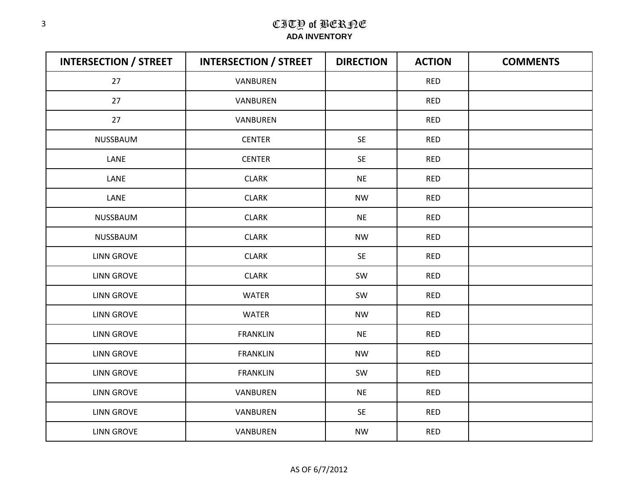| <b>INTERSECTION / STREET</b> | <b>INTERSECTION / STREET</b> | <b>DIRECTION</b> | <b>ACTION</b> | <b>COMMENTS</b> |
|------------------------------|------------------------------|------------------|---------------|-----------------|
| 27                           | VANBUREN                     |                  | <b>RED</b>    |                 |
| 27                           | VANBUREN                     |                  | <b>RED</b>    |                 |
| 27                           | VANBUREN                     |                  | <b>RED</b>    |                 |
| NUSSBAUM                     | <b>CENTER</b>                | <b>SE</b>        | <b>RED</b>    |                 |
| LANE                         | <b>CENTER</b>                | <b>SE</b>        | <b>RED</b>    |                 |
| LANE                         | <b>CLARK</b>                 | <b>NE</b>        | <b>RED</b>    |                 |
| LANE                         | <b>CLARK</b>                 | <b>NW</b>        | <b>RED</b>    |                 |
| NUSSBAUM                     | <b>CLARK</b>                 | <b>NE</b>        | <b>RED</b>    |                 |
| NUSSBAUM                     | <b>CLARK</b>                 | <b>NW</b>        | <b>RED</b>    |                 |
| <b>LINN GROVE</b>            | <b>CLARK</b>                 | SE               | <b>RED</b>    |                 |
| <b>LINN GROVE</b>            | <b>CLARK</b>                 | SW               | <b>RED</b>    |                 |
| <b>LINN GROVE</b>            | <b>WATER</b>                 | SW               | <b>RED</b>    |                 |
| <b>LINN GROVE</b>            | <b>WATER</b>                 | <b>NW</b>        | <b>RED</b>    |                 |
| <b>LINN GROVE</b>            | <b>FRANKLIN</b>              | <b>NE</b>        | <b>RED</b>    |                 |
| <b>LINN GROVE</b>            | <b>FRANKLIN</b>              | <b>NW</b>        | <b>RED</b>    |                 |
| <b>LINN GROVE</b>            | <b>FRANKLIN</b>              | SW               | <b>RED</b>    |                 |
| <b>LINN GROVE</b>            | VANBUREN                     | <b>NE</b>        | <b>RED</b>    |                 |
| <b>LINN GROVE</b>            | VANBUREN                     | <b>SE</b>        | <b>RED</b>    |                 |
| <b>LINN GROVE</b>            | VANBUREN                     | <b>NW</b>        | <b>RED</b>    |                 |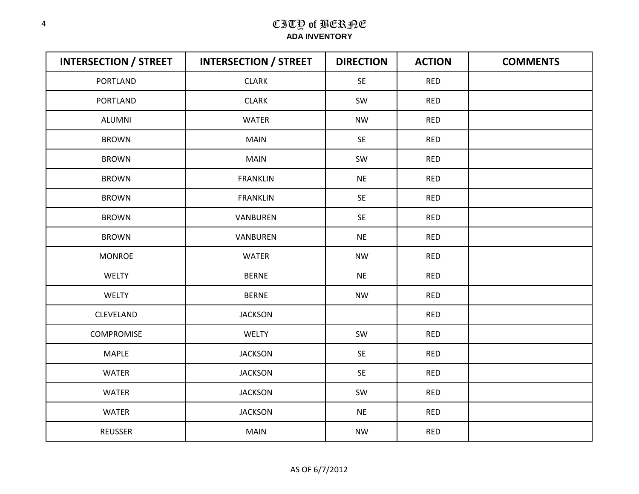| <b>INTERSECTION / STREET</b> | <b>INTERSECTION / STREET</b> | <b>DIRECTION</b> | <b>ACTION</b> | <b>COMMENTS</b> |
|------------------------------|------------------------------|------------------|---------------|-----------------|
| <b>PORTLAND</b>              | <b>CLARK</b>                 | SE               | <b>RED</b>    |                 |
| PORTLAND                     | <b>CLARK</b>                 | SW               | <b>RED</b>    |                 |
| <b>ALUMNI</b>                | <b>WATER</b>                 | <b>NW</b>        | <b>RED</b>    |                 |
| <b>BROWN</b>                 | <b>MAIN</b>                  | <b>SE</b>        | <b>RED</b>    |                 |
| <b>BROWN</b>                 | <b>MAIN</b>                  | SW               | <b>RED</b>    |                 |
| <b>BROWN</b>                 | <b>FRANKLIN</b>              | <b>NE</b>        | <b>RED</b>    |                 |
| <b>BROWN</b>                 | <b>FRANKLIN</b>              | <b>SE</b>        | <b>RED</b>    |                 |
| <b>BROWN</b>                 | VANBUREN                     | SE               | <b>RED</b>    |                 |
| <b>BROWN</b>                 | VANBUREN                     | <b>NE</b>        | <b>RED</b>    |                 |
| <b>MONROE</b>                | <b>WATER</b>                 | <b>NW</b>        | <b>RED</b>    |                 |
| <b>WELTY</b>                 | <b>BERNE</b>                 | <b>NE</b>        | <b>RED</b>    |                 |
| <b>WELTY</b>                 | <b>BERNE</b>                 | <b>NW</b>        | <b>RED</b>    |                 |
| CLEVELAND                    | <b>JACKSON</b>               |                  | <b>RED</b>    |                 |
| <b>COMPROMISE</b>            | <b>WELTY</b>                 | SW               | <b>RED</b>    |                 |
| MAPLE                        | <b>JACKSON</b>               | <b>SE</b>        | <b>RED</b>    |                 |
| <b>WATER</b>                 | <b>JACKSON</b>               | SE               | <b>RED</b>    |                 |
| <b>WATER</b>                 | <b>JACKSON</b>               | SW               | <b>RED</b>    |                 |
| <b>WATER</b>                 | <b>JACKSON</b>               | <b>NE</b>        | <b>RED</b>    |                 |
| <b>REUSSER</b>               | <b>MAIN</b>                  | <b>NW</b>        | <b>RED</b>    |                 |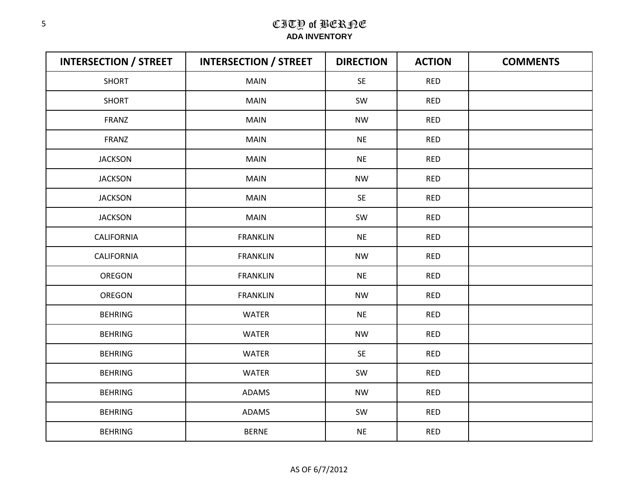| <b>INTERSECTION / STREET</b> | <b>INTERSECTION / STREET</b> | <b>DIRECTION</b> | <b>ACTION</b> | <b>COMMENTS</b> |
|------------------------------|------------------------------|------------------|---------------|-----------------|
| <b>SHORT</b>                 | <b>MAIN</b>                  | SE               | <b>RED</b>    |                 |
| <b>SHORT</b>                 | <b>MAIN</b>                  | SW               | <b>RED</b>    |                 |
| FRANZ                        | <b>MAIN</b>                  | <b>NW</b>        | <b>RED</b>    |                 |
| FRANZ                        | <b>MAIN</b>                  | <b>NE</b>        | <b>RED</b>    |                 |
| <b>JACKSON</b>               | <b>MAIN</b>                  | <b>NE</b>        | <b>RED</b>    |                 |
| <b>JACKSON</b>               | <b>MAIN</b>                  | <b>NW</b>        | <b>RED</b>    |                 |
| <b>JACKSON</b>               | MAIN                         | <b>SE</b>        | <b>RED</b>    |                 |
| <b>JACKSON</b>               | <b>MAIN</b>                  | SW               | <b>RED</b>    |                 |
| <b>CALIFORNIA</b>            | <b>FRANKLIN</b>              | <b>NE</b>        | <b>RED</b>    |                 |
| CALIFORNIA                   | <b>FRANKLIN</b>              | <b>NW</b>        | <b>RED</b>    |                 |
| OREGON                       | <b>FRANKLIN</b>              | <b>NE</b>        | <b>RED</b>    |                 |
| OREGON                       | <b>FRANKLIN</b>              | <b>NW</b>        | <b>RED</b>    |                 |
| <b>BEHRING</b>               | <b>WATER</b>                 | <b>NE</b>        | <b>RED</b>    |                 |
| <b>BEHRING</b>               | <b>WATER</b>                 | <b>NW</b>        | <b>RED</b>    |                 |
| <b>BEHRING</b>               | WATER                        | <b>SE</b>        | <b>RED</b>    |                 |
| <b>BEHRING</b>               | <b>WATER</b>                 | SW               | <b>RED</b>    |                 |
| <b>BEHRING</b>               | ADAMS                        | <b>NW</b>        | <b>RED</b>    |                 |
| <b>BEHRING</b>               | ADAMS                        | SW               | <b>RED</b>    |                 |
| <b>BEHRING</b>               | <b>BERNE</b>                 | <b>NE</b>        | <b>RED</b>    |                 |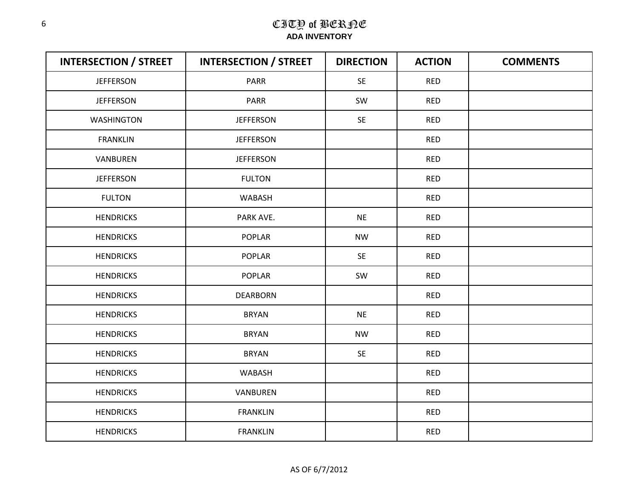| <b>INTERSECTION / STREET</b> | <b>INTERSECTION / STREET</b> | <b>DIRECTION</b> | <b>ACTION</b> | <b>COMMENTS</b> |
|------------------------------|------------------------------|------------------|---------------|-----------------|
| <b>JEFFERSON</b>             | <b>PARR</b>                  | <b>SE</b>        | <b>RED</b>    |                 |
| <b>JEFFERSON</b>             | PARR                         | SW               | <b>RED</b>    |                 |
| <b>WASHINGTON</b>            | <b>JEFFERSON</b>             | SE               | <b>RED</b>    |                 |
| <b>FRANKLIN</b>              | <b>JEFFERSON</b>             |                  | <b>RED</b>    |                 |
| VANBUREN                     | <b>JEFFERSON</b>             |                  | <b>RED</b>    |                 |
| <b>JEFFERSON</b>             | <b>FULTON</b>                |                  | <b>RED</b>    |                 |
| <b>FULTON</b>                | WABASH                       |                  | <b>RED</b>    |                 |
| <b>HENDRICKS</b>             | PARK AVE.                    | <b>NE</b>        | <b>RED</b>    |                 |
| <b>HENDRICKS</b>             | <b>POPLAR</b>                | <b>NW</b>        | <b>RED</b>    |                 |
| <b>HENDRICKS</b>             | <b>POPLAR</b>                | <b>SE</b>        | <b>RED</b>    |                 |
| <b>HENDRICKS</b>             | <b>POPLAR</b>                | SW               | <b>RED</b>    |                 |
| <b>HENDRICKS</b>             | <b>DEARBORN</b>              |                  | <b>RED</b>    |                 |
| <b>HENDRICKS</b>             | <b>BRYAN</b>                 | <b>NE</b>        | <b>RED</b>    |                 |
| <b>HENDRICKS</b>             | <b>BRYAN</b>                 | <b>NW</b>        | <b>RED</b>    |                 |
| <b>HENDRICKS</b>             | <b>BRYAN</b>                 | SE               | <b>RED</b>    |                 |
| <b>HENDRICKS</b>             | WABASH                       |                  | <b>RED</b>    |                 |
| <b>HENDRICKS</b>             | VANBUREN                     |                  | <b>RED</b>    |                 |
| <b>HENDRICKS</b>             | <b>FRANKLIN</b>              |                  | <b>RED</b>    |                 |
| <b>HENDRICKS</b>             | <b>FRANKLIN</b>              |                  | <b>RED</b>    |                 |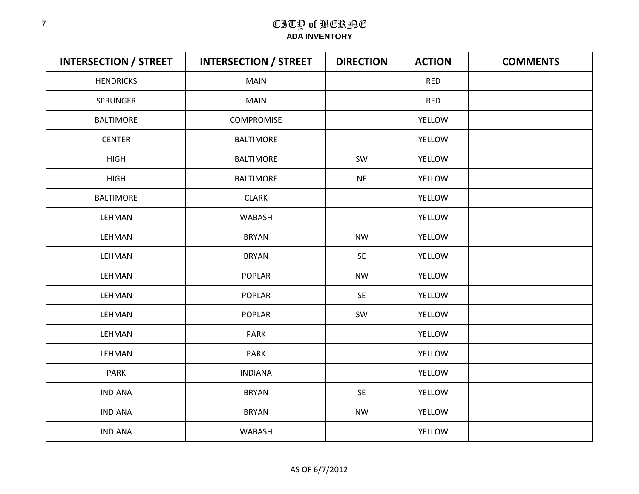| <b>INTERSECTION / STREET</b> | <b>INTERSECTION / STREET</b> | <b>DIRECTION</b> | <b>ACTION</b> | <b>COMMENTS</b> |
|------------------------------|------------------------------|------------------|---------------|-----------------|
| <b>HENDRICKS</b>             | <b>MAIN</b>                  |                  | <b>RED</b>    |                 |
| SPRUNGER                     | <b>MAIN</b>                  |                  | <b>RED</b>    |                 |
| <b>BALTIMORE</b>             | COMPROMISE                   |                  | YELLOW        |                 |
| <b>CENTER</b>                | <b>BALTIMORE</b>             |                  | YELLOW        |                 |
| <b>HIGH</b>                  | <b>BALTIMORE</b>             | SW               | YELLOW        |                 |
| <b>HIGH</b>                  | <b>BALTIMORE</b>             | <b>NE</b>        | YELLOW        |                 |
| <b>BALTIMORE</b>             | <b>CLARK</b>                 |                  | YELLOW        |                 |
| LEHMAN                       | WABASH                       |                  | YELLOW        |                 |
| LEHMAN                       | <b>BRYAN</b>                 | <b>NW</b>        | YELLOW        |                 |
| LEHMAN                       | <b>BRYAN</b>                 | SE               | YELLOW        |                 |
| LEHMAN                       | <b>POPLAR</b>                | <b>NW</b>        | YELLOW        |                 |
| LEHMAN                       | <b>POPLAR</b>                | SE               | YELLOW        |                 |
| LEHMAN                       | <b>POPLAR</b>                | SW               | YELLOW        |                 |
| LEHMAN                       | <b>PARK</b>                  |                  | YELLOW        |                 |
| LEHMAN                       | <b>PARK</b>                  |                  | YELLOW        |                 |
| PARK                         | <b>INDIANA</b>               |                  | YELLOW        |                 |
| <b>INDIANA</b>               | <b>BRYAN</b>                 | <b>SE</b>        | YELLOW        |                 |
| <b>INDIANA</b>               | <b>BRYAN</b>                 | <b>NW</b>        | YELLOW        |                 |
| <b>INDIANA</b>               | WABASH                       |                  | YELLOW        |                 |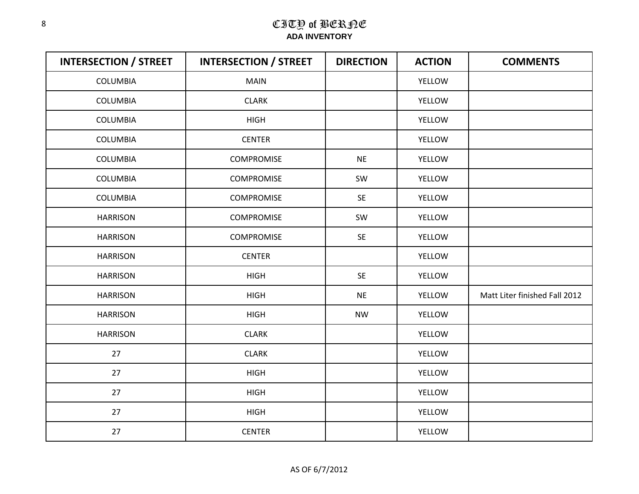| <b>INTERSECTION / STREET</b> | <b>INTERSECTION / STREET</b> | <b>DIRECTION</b> | <b>ACTION</b> | <b>COMMENTS</b>               |
|------------------------------|------------------------------|------------------|---------------|-------------------------------|
| <b>COLUMBIA</b>              | <b>MAIN</b>                  |                  | YELLOW        |                               |
| <b>COLUMBIA</b>              | <b>CLARK</b>                 |                  | YELLOW        |                               |
| <b>COLUMBIA</b>              | <b>HIGH</b>                  |                  | <b>YELLOW</b> |                               |
| COLUMBIA                     | <b>CENTER</b>                |                  | YELLOW        |                               |
| <b>COLUMBIA</b>              | <b>COMPROMISE</b>            | <b>NE</b>        | <b>YELLOW</b> |                               |
| <b>COLUMBIA</b>              | <b>COMPROMISE</b>            | SW               | <b>YELLOW</b> |                               |
| <b>COLUMBIA</b>              | <b>COMPROMISE</b>            | <b>SE</b>        | YELLOW        |                               |
| <b>HARRISON</b>              | <b>COMPROMISE</b>            | SW               | YELLOW        |                               |
| <b>HARRISON</b>              | <b>COMPROMISE</b>            | <b>SE</b>        | YELLOW        |                               |
| <b>HARRISON</b>              | <b>CENTER</b>                |                  | YELLOW        |                               |
| <b>HARRISON</b>              | <b>HIGH</b>                  | <b>SE</b>        | YELLOW        |                               |
| <b>HARRISON</b>              | <b>HIGH</b>                  | <b>NE</b>        | YELLOW        | Matt Liter finished Fall 2012 |
| <b>HARRISON</b>              | <b>HIGH</b>                  | <b>NW</b>        | YELLOW        |                               |
| <b>HARRISON</b>              | <b>CLARK</b>                 |                  | YELLOW        |                               |
| 27                           | <b>CLARK</b>                 |                  | <b>YELLOW</b> |                               |
| 27                           | <b>HIGH</b>                  |                  | YELLOW        |                               |
| 27                           | <b>HIGH</b>                  |                  | YELLOW        |                               |
| 27                           | <b>HIGH</b>                  |                  | YELLOW        |                               |
| 27                           | <b>CENTER</b>                |                  | YELLOW        |                               |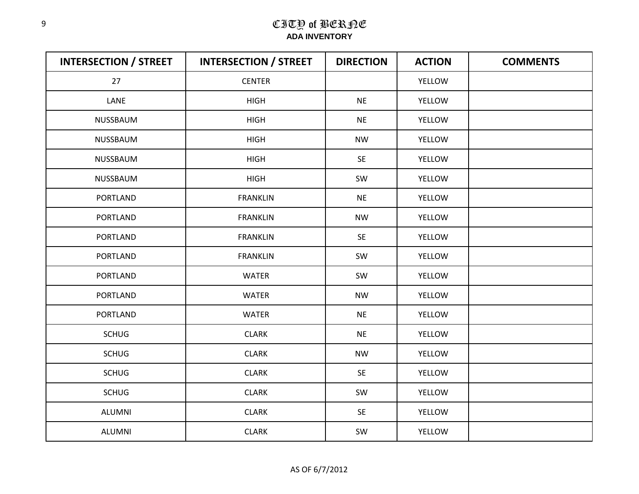| <b>INTERSECTION / STREET</b> | <b>INTERSECTION / STREET</b> | <b>DIRECTION</b> | <b>ACTION</b> | <b>COMMENTS</b> |
|------------------------------|------------------------------|------------------|---------------|-----------------|
| 27                           | <b>CENTER</b>                |                  | YELLOW        |                 |
| LANE                         | <b>HIGH</b>                  | <b>NE</b>        | YELLOW        |                 |
| NUSSBAUM                     | <b>HIGH</b>                  | <b>NE</b>        | YELLOW        |                 |
| NUSSBAUM                     | <b>HIGH</b>                  | <b>NW</b>        | <b>YELLOW</b> |                 |
| NUSSBAUM                     | <b>HIGH</b>                  | SE               | <b>YELLOW</b> |                 |
| NUSSBAUM                     | <b>HIGH</b>                  | SW               | <b>YELLOW</b> |                 |
| PORTLAND                     | <b>FRANKLIN</b>              | <b>NE</b>        | <b>YELLOW</b> |                 |
| PORTLAND                     | <b>FRANKLIN</b>              | <b>NW</b>        | YELLOW        |                 |
| PORTLAND                     | <b>FRANKLIN</b>              | SE               | YELLOW        |                 |
| PORTLAND                     | <b>FRANKLIN</b>              | SW               | YELLOW        |                 |
| <b>PORTLAND</b>              | <b>WATER</b>                 | SW               | YELLOW        |                 |
| <b>PORTLAND</b>              | <b>WATER</b>                 | <b>NW</b>        | <b>YELLOW</b> |                 |
| PORTLAND                     | <b>WATER</b>                 | <b>NE</b>        | YELLOW        |                 |
| <b>SCHUG</b>                 | <b>CLARK</b>                 | <b>NE</b>        | <b>YELLOW</b> |                 |
| <b>SCHUG</b>                 | <b>CLARK</b>                 | <b>NW</b>        | YELLOW        |                 |
| <b>SCHUG</b>                 | <b>CLARK</b>                 | SE               | YELLOW        |                 |
| <b>SCHUG</b>                 | <b>CLARK</b>                 | SW               | YELLOW        |                 |
| <b>ALUMNI</b>                | <b>CLARK</b>                 | <b>SE</b>        | YELLOW        |                 |
| <b>ALUMNI</b>                | <b>CLARK</b>                 | SW               | YELLOW        |                 |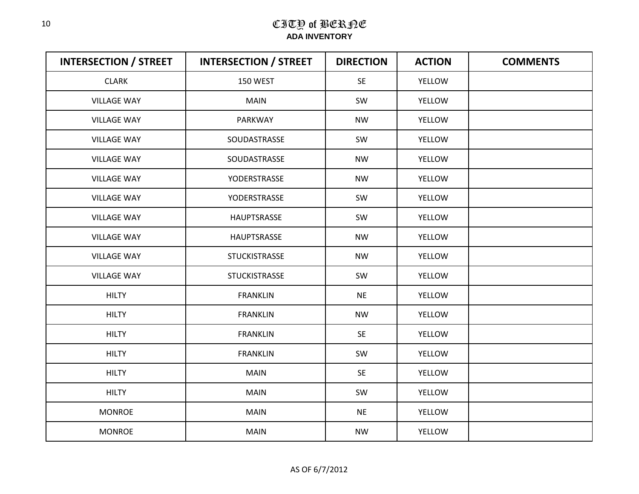| <b>INTERSECTION / STREET</b> | <b>INTERSECTION / STREET</b> | <b>DIRECTION</b> | <b>ACTION</b> | <b>COMMENTS</b> |
|------------------------------|------------------------------|------------------|---------------|-----------------|
| <b>CLARK</b>                 | 150 WEST                     | SE               | YELLOW        |                 |
| <b>VILLAGE WAY</b>           | <b>MAIN</b>                  | SW               | YELLOW        |                 |
| <b>VILLAGE WAY</b>           | PARKWAY                      | <b>NW</b>        | <b>YELLOW</b> |                 |
| <b>VILLAGE WAY</b>           | SOUDASTRASSE                 | SW               | <b>YELLOW</b> |                 |
| <b>VILLAGE WAY</b>           | SOUDASTRASSE                 | <b>NW</b>        | YELLOW        |                 |
| <b>VILLAGE WAY</b>           | YODERSTRASSE                 | <b>NW</b>        | YELLOW        |                 |
| <b>VILLAGE WAY</b>           | YODERSTRASSE                 | SW               | YELLOW        |                 |
| <b>VILLAGE WAY</b>           | HAUPTSRASSE                  | SW               | YELLOW        |                 |
| <b>VILLAGE WAY</b>           | HAUPTSRASSE                  | <b>NW</b>        | YELLOW        |                 |
| <b>VILLAGE WAY</b>           | <b>STUCKISTRASSE</b>         | <b>NW</b>        | YELLOW        |                 |
| <b>VILLAGE WAY</b>           | <b>STUCKISTRASSE</b>         | SW               | YELLOW        |                 |
| <b>HILTY</b>                 | <b>FRANKLIN</b>              | <b>NE</b>        | YELLOW        |                 |
| <b>HILTY</b>                 | <b>FRANKLIN</b>              | <b>NW</b>        | YELLOW        |                 |
| <b>HILTY</b>                 | <b>FRANKLIN</b>              | <b>SE</b>        | YELLOW        |                 |
| <b>HILTY</b>                 | <b>FRANKLIN</b>              | SW               | YELLOW        |                 |
| <b>HILTY</b>                 | <b>MAIN</b>                  | <b>SE</b>        | YELLOW        |                 |
| <b>HILTY</b>                 | <b>MAIN</b>                  | SW               | YELLOW        |                 |
| <b>MONROE</b>                | <b>MAIN</b>                  | <b>NE</b>        | YELLOW        |                 |
| <b>MONROE</b>                | <b>MAIN</b>                  | <b>NW</b>        | YELLOW        |                 |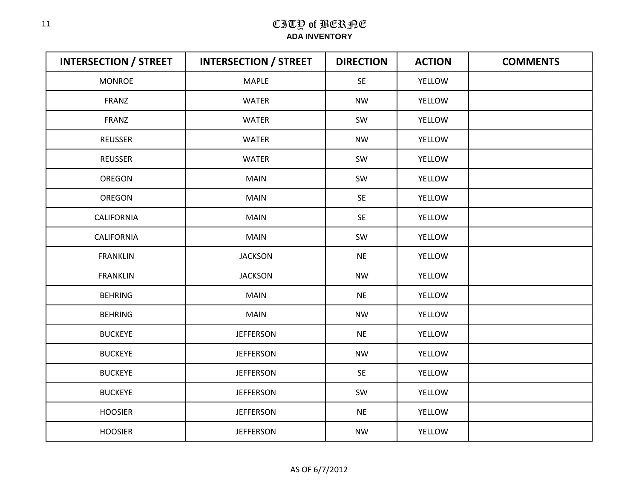| <b>INTERSECTION / STREET</b> | <b>INTERSECTION / STREET</b> | <b>DIRECTION</b> | <b>ACTION</b> | <b>COMMENTS</b> |
|------------------------------|------------------------------|------------------|---------------|-----------------|
| <b>MONROE</b>                | <b>MAPLE</b>                 | SE               | YELLOW        |                 |
| FRANZ                        | <b>WATER</b>                 | <b>NW</b>        | YELLOW        |                 |
| <b>FRANZ</b>                 | <b>WATER</b>                 | SW               | <b>YELLOW</b> |                 |
| <b>REUSSER</b>               | <b>WATER</b>                 | <b>NW</b>        | YELLOW        |                 |
| <b>REUSSER</b>               | <b>WATER</b>                 | SW               | <b>YELLOW</b> |                 |
| <b>OREGON</b>                | <b>MAIN</b>                  | SW               | <b>YELLOW</b> |                 |
| OREGON                       | MAIN                         | SE               | YELLOW        |                 |
| CALIFORNIA                   | <b>MAIN</b>                  | <b>SE</b>        | YELLOW        |                 |
| <b>CALIFORNIA</b>            | <b>MAIN</b>                  | SW               | YELLOW        |                 |
| <b>FRANKLIN</b>              | <b>JACKSON</b>               | <b>NE</b>        | YELLOW        |                 |
| <b>FRANKLIN</b>              | <b>JACKSON</b>               | <b>NW</b>        | YELLOW        |                 |
| <b>BEHRING</b>               | <b>MAIN</b>                  | <b>NE</b>        | YELLOW        |                 |
| <b>BEHRING</b>               | <b>MAIN</b>                  | <b>NW</b>        | <b>YELLOW</b> |                 |
| <b>BUCKEYE</b>               | <b>JEFFERSON</b>             | <b>NE</b>        | YELLOW        |                 |
| <b>BUCKEYE</b>               | <b>JEFFERSON</b>             | <b>NW</b>        | YELLOW        |                 |
| <b>BUCKEYE</b>               | <b>JEFFERSON</b>             | SE               | YELLOW        |                 |
| <b>BUCKEYE</b>               | <b>JEFFERSON</b>             | SW               | YELLOW        |                 |
| <b>HOOSIER</b>               | <b>JEFFERSON</b>             | <b>NE</b>        | YELLOW        |                 |
| <b>HOOSIER</b>               | <b>JEFFERSON</b>             | <b>NW</b>        | YELLOW        |                 |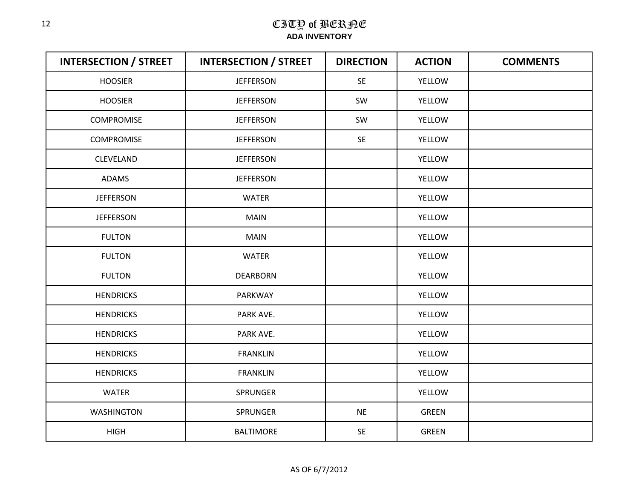| <b>INTERSECTION / STREET</b> | <b>INTERSECTION / STREET</b> | <b>DIRECTION</b> | <b>ACTION</b> | <b>COMMENTS</b> |
|------------------------------|------------------------------|------------------|---------------|-----------------|
| <b>HOOSIER</b>               | <b>JEFFERSON</b>             | <b>SE</b>        | <b>YELLOW</b> |                 |
| <b>HOOSIER</b>               | <b>JEFFERSON</b>             | SW               | YELLOW        |                 |
| <b>COMPROMISE</b>            | <b>JEFFERSON</b>             | SW               | YELLOW        |                 |
| <b>COMPROMISE</b>            | <b>JEFFERSON</b>             | SE               | YELLOW        |                 |
| CLEVELAND                    | <b>JEFFERSON</b>             |                  | YELLOW        |                 |
| ADAMS                        | <b>JEFFERSON</b>             |                  | YELLOW        |                 |
| <b>JEFFERSON</b>             | <b>WATER</b>                 |                  | YELLOW        |                 |
| <b>JEFFERSON</b>             | <b>MAIN</b>                  |                  | YELLOW        |                 |
| <b>FULTON</b>                | <b>MAIN</b>                  |                  | YELLOW        |                 |
| <b>FULTON</b>                | <b>WATER</b>                 |                  | YELLOW        |                 |
| <b>FULTON</b>                | <b>DEARBORN</b>              |                  | YELLOW        |                 |
| <b>HENDRICKS</b>             | PARKWAY                      |                  | <b>YELLOW</b> |                 |
| <b>HENDRICKS</b>             | PARK AVE.                    |                  | YELLOW        |                 |
| <b>HENDRICKS</b>             | PARK AVE.                    |                  | YELLOW        |                 |
| <b>HENDRICKS</b>             | <b>FRANKLIN</b>              |                  | YELLOW        |                 |
| <b>HENDRICKS</b>             | <b>FRANKLIN</b>              |                  | YELLOW        |                 |
| WATER                        | SPRUNGER                     |                  | YELLOW        |                 |
| <b>WASHINGTON</b>            | SPRUNGER                     | <b>NE</b>        | <b>GREEN</b>  |                 |
| <b>HIGH</b>                  | <b>BALTIMORE</b>             | SE               | <b>GREEN</b>  |                 |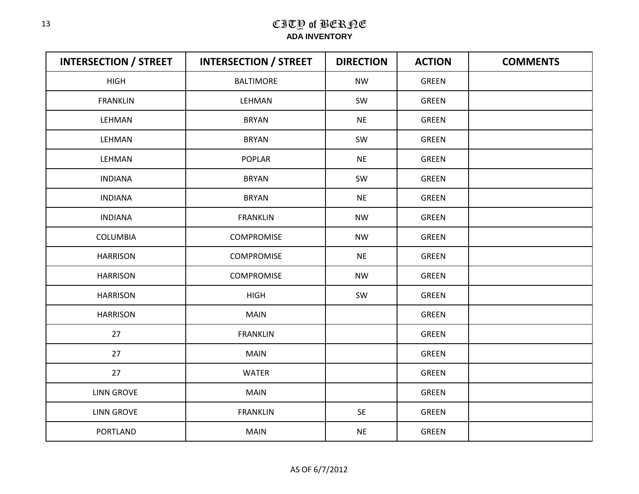| <b>INTERSECTION / STREET</b> | <b>INTERSECTION / STREET</b> | <b>DIRECTION</b> | <b>ACTION</b> | <b>COMMENTS</b> |
|------------------------------|------------------------------|------------------|---------------|-----------------|
| <b>HIGH</b>                  | <b>BALTIMORE</b>             | <b>NW</b>        | <b>GREEN</b>  |                 |
| <b>FRANKLIN</b>              | LEHMAN                       | SW               | <b>GREEN</b>  |                 |
| LEHMAN                       | <b>BRYAN</b>                 | <b>NE</b>        | <b>GREEN</b>  |                 |
| LEHMAN                       | <b>BRYAN</b>                 | SW               | <b>GREEN</b>  |                 |
| LEHMAN                       | <b>POPLAR</b>                | <b>NE</b>        | <b>GREEN</b>  |                 |
| <b>INDIANA</b>               | <b>BRYAN</b>                 | SW               | GREEN         |                 |
| <b>INDIANA</b>               | <b>BRYAN</b>                 | <b>NE</b>        | <b>GREEN</b>  |                 |
| <b>INDIANA</b>               | <b>FRANKLIN</b>              | <b>NW</b>        | GREEN         |                 |
| <b>COLUMBIA</b>              | <b>COMPROMISE</b>            | <b>NW</b>        | <b>GREEN</b>  |                 |
| <b>HARRISON</b>              | COMPROMISE                   | <b>NE</b>        | GREEN         |                 |
| <b>HARRISON</b>              | <b>COMPROMISE</b>            | <b>NW</b>        | <b>GREEN</b>  |                 |
| <b>HARRISON</b>              | <b>HIGH</b>                  | SW               | <b>GREEN</b>  |                 |
| <b>HARRISON</b>              | <b>MAIN</b>                  |                  | <b>GREEN</b>  |                 |
| 27                           | <b>FRANKLIN</b>              |                  | GREEN         |                 |
| 27                           | <b>MAIN</b>                  |                  | <b>GREEN</b>  |                 |
| 27                           | <b>WATER</b>                 |                  | GREEN         |                 |
| <b>LINN GROVE</b>            | <b>MAIN</b>                  |                  | GREEN         |                 |
| <b>LINN GROVE</b>            | <b>FRANKLIN</b>              | SE               | <b>GREEN</b>  |                 |
| PORTLAND                     | <b>MAIN</b>                  | <b>NE</b>        | <b>GREEN</b>  |                 |